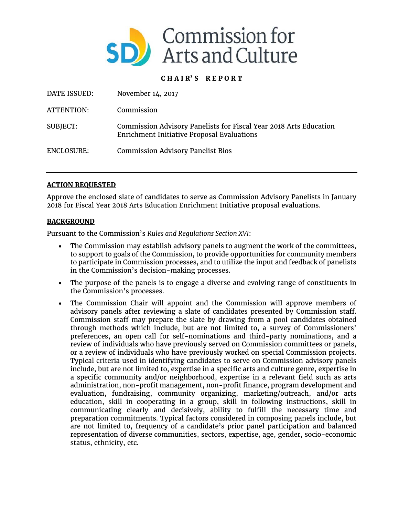

## **C H A I R' S R E P O R T**

| DATE ISSUED: | November 14, 2017                                                                                               |
|--------------|-----------------------------------------------------------------------------------------------------------------|
| ATTENTION:   | Commission                                                                                                      |
| SUBJECT:     | Commission Advisory Panelists for Fiscal Year 2018 Arts Education<br>Enrichment Initiative Proposal Evaluations |
| ENCLOSURE:   | <b>Commission Advisory Panelist Bios</b>                                                                        |

## **ACTION REQUESTED**

Approve the enclosed slate of candidates to serve as Commission Advisory Panelists in January 2018 for Fiscal Year 2018 Arts Education Enrichment Initiative proposal evaluations.

## **BACKGROUND**

Pursuant to the Commission's *Rules and Regulations Section XVI*:

- The Commission may establish advisory panels to augment the work of the committees, to support to goals of the Commission, to provide opportunities for community members to participate in Commission processes, and to utilize the input and feedback of panelists in the Commission's decision-making processes.
- The purpose of the panels is to engage a diverse and evolving range of constituents in the Commission's processes.
- The Commission Chair will appoint and the Commission will approve members of advisory panels after reviewing a slate of candidates presented by Commission staff. Commission staff may prepare the slate by drawing from a pool candidates obtained through methods which include, but are not limited to, a survey of Commissioners' preferences, an open call for self-nominations and third-party nominations, and a review of individuals who have previously served on Commission committees or panels, or a review of individuals who have previously worked on special Commission projects. Typical criteria used in identifying candidates to serve on Commission advisory panels include, but are not limited to, expertise in a specific arts and culture genre, expertise in a specific community and/or neighborhood, expertise in a relevant field such as arts administration, non-profit management, non-profit finance, program development and evaluation, fundraising, community organizing, marketing/outreach, and/or arts education, skill in cooperating in a group, skill in following instructions, skill in communicating clearly and decisively, ability to fulfill the necessary time and preparation commitments. Typical factors considered in composing panels include, but are not limited to, frequency of a candidate's prior panel participation and balanced representation of diverse communities, sectors, expertise, age, gender, socio-economic status, ethnicity, etc.